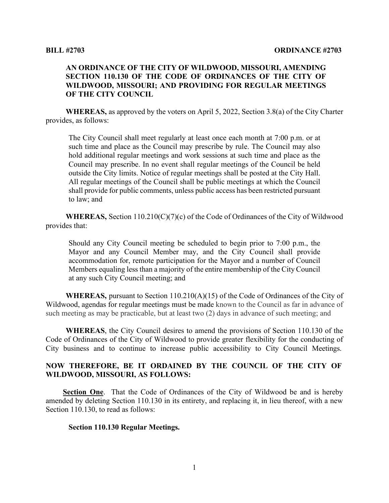## **AN ORDINANCE OF THE CITY OF WILDWOOD, MISSOURI, AMENDING SECTION 110.130 OF THE CODE OF ORDINANCES OF THE CITY OF WILDWOOD, MISSOURI; AND PROVIDING FOR REGULAR MEETINGS OF THE CITY COUNCIL**

**WHEREAS,** as approved by the voters on April 5, 2022, Section 3.8(a) of the City Charter provides, as follows:

The City Council shall meet regularly at least once each month at 7:00 p.m. or at such time and place as the Council may prescribe by rule. The Council may also hold additional regular meetings and work sessions at such time and place as the Council may prescribe. In no event shall regular meetings of the Council be held outside the City limits. Notice of regular meetings shall be posted at the City Hall. All regular meetings of the Council shall be public meetings at which the Council shall provide for public comments, unless public access has been restricted pursuant to law; and

**WHEREAS,** Section 110.210(C)(7)(c) of the Code of Ordinances of the City of Wildwood provides that:

Should any City Council meeting be scheduled to begin prior to 7:00 p.m., the Mayor and any Council Member may, and the City Council shall provide accommodation for, remote participation for the Mayor and a number of Council Members equaling less than a majority of the entire membership of the City Council at any such City Council meeting; and

**WHEREAS,** pursuant to Section 110.210(A)(15) of the Code of Ordinances of the City of Wildwood, agendas for regular meetings must be made known to the Council as far in advance of such meeting as may be practicable, but at least two (2) days in advance of such meeting; and

**WHEREAS**, the City Council desires to amend the provisions of Section 110.130 of the Code of Ordinances of the City of Wildwood to provide greater flexibility for the conducting of City business and to continue to increase public accessibility to City Council Meetings.

## **NOW THEREFORE, BE IT ORDAINED BY THE COUNCIL OF THE CITY OF WILDWOOD, MISSOURI, AS FOLLOWS:**

**Section One**. That the Code of Ordinances of the City of Wildwood be and is hereby amended by deleting Section 110.130 in its entirety, and replacing it, in lieu thereof, with a new Section 110.130, to read as follows:

## **Section 110.130 Regular Meetings.**